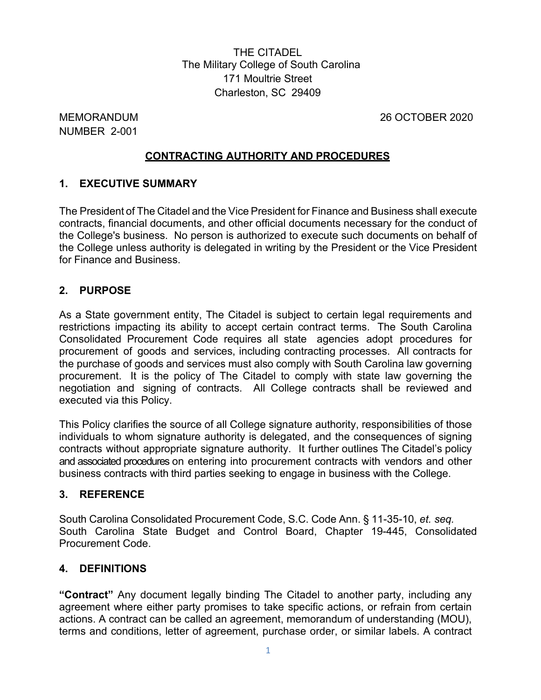THE CITADEL The Military College of South Carolina 171 Moultrie Street Charleston, SC 29409

NUMBER 2-001

MEMORANDUM 26 OCTOBER 2020

## **CONTRACTING AUTHORITY AND PROCEDURES**

## **1. EXECUTIVE SUMMARY**

The President of The Citadel and the Vice President for Finance and Business shall execute contracts, financial documents, and other official documents necessary for the conduct of the College's business. No person is authorized to execute such documents on behalf of the College unless authority is delegated in writing by the President or the Vice President for Finance and Business.

## **2. PURPOSE**

As a State government entity, The Citadel is subject to certain legal requirements and restrictions impacting its ability to accept certain contract terms. The South Carolina Consolidated Procurement Code requires all state agencies adopt procedures for procurement of goods and services, including contracting processes. All contracts for the purchase of goods and services must also comply with South Carolina law governing procurement.It is the policy of The Citadel to comply with state law governing the negotiation and signing of contracts. All College contracts shall be reviewed and executed via this Policy.

This Policy clarifies the source of all College signature authority, responsibilities of those individuals to whom signature authority is delegated, and the consequences of signing contracts without appropriate signature authority. It further outlines The Citadel's policy and associated procedures on entering into procurement contracts with vendors and other business contracts with third parties seeking to engage in business with the College.

## **3. REFERENCE**

South Carolina Consolidated Procurement Code, S.C. Code Ann. § 11-35-10, *et. seq.* South Carolina State Budget and Control Board, Chapter 19-445, Consolidated Procurement Code.

## **4. DEFINITIONS**

**"Contract"** Any document legally binding The Citadel to another party, including any agreement where either party promises to take specific actions, or refrain from certain actions. A contract can be called an agreement, memorandum of understanding (MOU), terms and conditions, letter of agreement, purchase order, or similar labels. A contract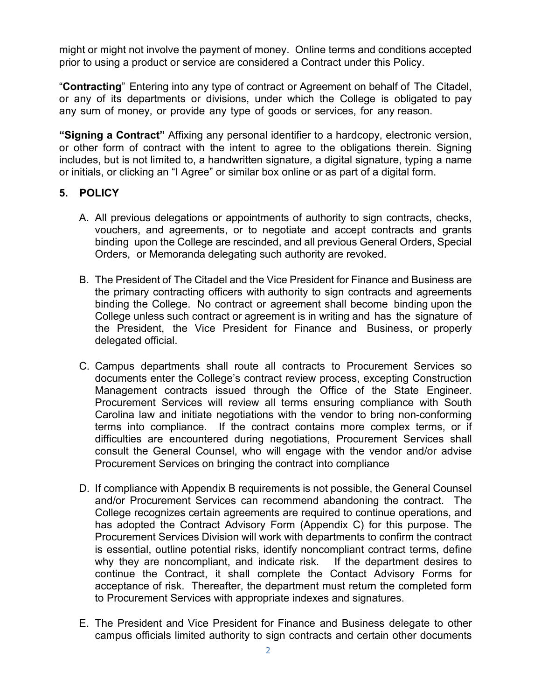might or might not involve the payment of money. Online terms and conditions accepted prior to using a product or service are considered a Contract under this Policy.

"**Contracting**" Entering into any type of contract or Agreement on behalf of The Citadel, or any of its departments or divisions, under which the College is obligated to pay any sum of money, or provide any type of goods or services, for any reason.

**"Signing a Contract"** Affixing any personal identifier to a hardcopy, electronic version, or other form of contract with the intent to agree to the obligations therein. Signing includes, but is not limited to, a handwritten signature, a digital signature, typing a name or initials, or clicking an "I Agree" or similar box online or as part of a digital form.

## **5. POLICY**

- A. All previous delegations or appointments of authority to sign contracts, checks, vouchers, and agreements, or to negotiate and accept contracts and grants binding upon the College are rescinded, and all previous General Orders, Special Orders, or Memoranda delegating such authority are revoked.
- B. The President of The Citadel and the Vice President for Finance and Business are the primary contracting officers with authority to sign contracts and agreements binding the College. No contract or agreement shall become binding upon the College unless such contract or agreement is in writing and has the signature of the President, the Vice President for Finance and Business, or properly delegated official.
- C. Campus departments shall route all contracts to Procurement Services so documents enter the College's contract review process, excepting Construction Management contracts issued through the Office of the State Engineer. Procurement Services will review all terms ensuring compliance with South Carolina law and initiate negotiations with the vendor to bring non-conforming terms into compliance. If the contract contains more complex terms, or if difficulties are encountered during negotiations, Procurement Services shall consult the General Counsel, who will engage with the vendor and/or advise Procurement Services on bringing the contract into compliance
- D. If compliance with Appendix B requirements is not possible, the General Counsel and/or Procurement Services can recommend abandoning the contract. The College recognizes certain agreements are required to continue operations, and has adopted the Contract Advisory Form (Appendix C) for this purpose. The Procurement Services Division will work with departments to confirm the contract is essential, outline potential risks, identify noncompliant contract terms, define why they are noncompliant, and indicate risk. If the department desires to continue the Contract, it shall complete the Contact Advisory Forms for acceptance of risk. Thereafter, the department must return the completed form to Procurement Services with appropriate indexes and signatures.
- E. The President and Vice President for Finance and Business delegate to other campus officials limited authority to sign contracts and certain other documents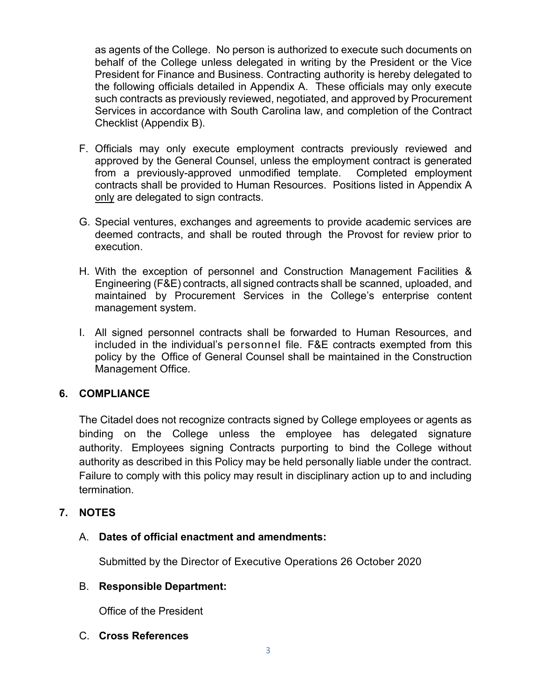as agents of the College. No person is authorized to execute such documents on behalf of the College unless delegated in writing by the President or the Vice President for Finance and Business. Contracting authority is hereby delegated to the following officials detailed in Appendix A. These officials may only execute such contracts as previously reviewed, negotiated, and approved by Procurement Services in accordance with South Carolina law, and completion of the Contract Checklist (Appendix B).

- F. Officials may only execute employment contracts previously reviewed and approved by the General Counsel, unless the employment contract is generated from a previously-approved unmodified template. Completed employment contracts shall be provided to Human Resources. Positions listed in Appendix A only are delegated to sign contracts.
- G. Special ventures, exchanges and agreements to provide academic services are deemed contracts, and shall be routed through the Provost for review prior to execution.
- H. With the exception of personnel and Construction Management Facilities & Engineering (F&E) contracts, all signed contracts shall be scanned, uploaded, and maintained by Procurement Services in the College's enterprise content management system.
- I. All signed personnel contracts shall be forwarded to Human Resources, and included in the individual's personnel file. F&E contracts exempted from this policy by the Office of General Counsel shall be maintained in the Construction Management Office.

## **6. COMPLIANCE**

The Citadel does not recognize contracts signed by College employees or agents as binding on the College unless the employee has delegated signature authority. Employees signing Contracts purporting to bind the College without authority as described in this Policy may be held personally liable under the contract. Failure to comply with this policy may result in disciplinary action up to and including termination.

#### **7. NOTES**

#### A. **Dates of official enactment and amendments:**

Submitted by the Director of Executive Operations 26 October 2020

#### B. **Responsible Department:**

Office of the President

#### C. **Cross References**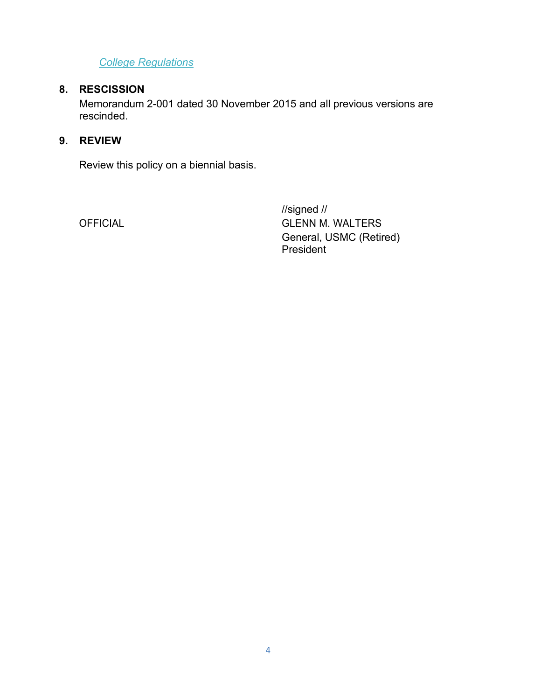*[College Regulations](http://www.citadel.edu/root/images/Policies/college-regulations.pdf)*

# **8. RESCISSION**

Memorandum 2-001 dated 30 November 2015 and all previous versions are rescinded.

## **9. REVIEW**

Review this policy on a biennial basis.

//signed // OFFICIAL GLENN M. WALTERS General, USMC (Retired) President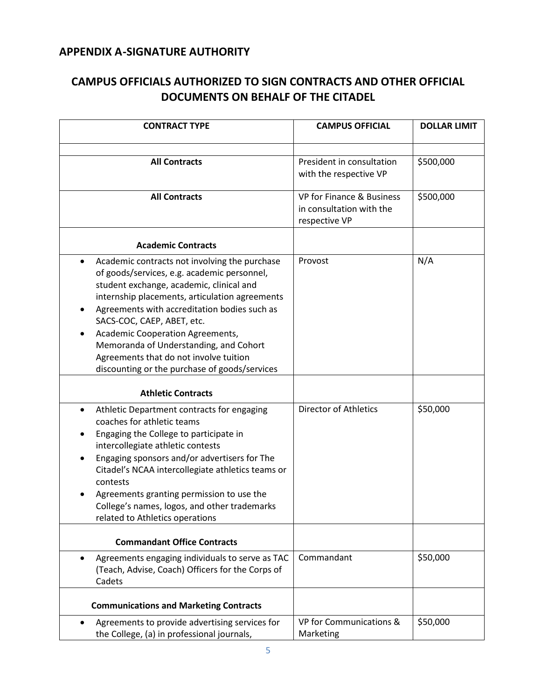# **APPENDIX A-SIGNATURE AUTHORITY**

| CAMPUS OFFICIALS AUTHORIZED TO SIGN CONTRACTS AND OTHER OFFICIAL |
|------------------------------------------------------------------|
| DOCUMENTS ON BEHALF OF THE CITADEL                               |

| <b>CONTRACT TYPE</b>                                                                                                                                                                                                                                                                                                                                                                                                                                   | <b>CAMPUS OFFICIAL</b>                                                 | <b>DOLLAR LIMIT</b> |
|--------------------------------------------------------------------------------------------------------------------------------------------------------------------------------------------------------------------------------------------------------------------------------------------------------------------------------------------------------------------------------------------------------------------------------------------------------|------------------------------------------------------------------------|---------------------|
|                                                                                                                                                                                                                                                                                                                                                                                                                                                        |                                                                        |                     |
| <b>All Contracts</b>                                                                                                                                                                                                                                                                                                                                                                                                                                   | President in consultation<br>with the respective VP                    | \$500,000           |
| <b>All Contracts</b>                                                                                                                                                                                                                                                                                                                                                                                                                                   | VP for Finance & Business<br>in consultation with the<br>respective VP | \$500,000           |
| <b>Academic Contracts</b>                                                                                                                                                                                                                                                                                                                                                                                                                              |                                                                        |                     |
| Academic contracts not involving the purchase<br>٠<br>of goods/services, e.g. academic personnel,<br>student exchange, academic, clinical and<br>internship placements, articulation agreements<br>Agreements with accreditation bodies such as<br>SACS-COC, CAEP, ABET, etc.<br>Academic Cooperation Agreements,<br>Memoranda of Understanding, and Cohort<br>Agreements that do not involve tuition<br>discounting or the purchase of goods/services | Provost                                                                | N/A                 |
| <b>Athletic Contracts</b>                                                                                                                                                                                                                                                                                                                                                                                                                              |                                                                        |                     |
| Athletic Department contracts for engaging<br>coaches for athletic teams<br>Engaging the College to participate in<br>intercollegiate athletic contests<br>Engaging sponsors and/or advertisers for The<br>Citadel's NCAA intercollegiate athletics teams or<br>contests<br>Agreements granting permission to use the<br>College's names, logos, and other trademarks<br>related to Athletics operations                                               | <b>Director of Athletics</b>                                           | \$50,000            |
| <b>Commandant Office Contracts</b>                                                                                                                                                                                                                                                                                                                                                                                                                     |                                                                        |                     |
| Agreements engaging individuals to serve as TAC<br>(Teach, Advise, Coach) Officers for the Corps of<br>Cadets                                                                                                                                                                                                                                                                                                                                          | Commandant                                                             | \$50,000            |
| <b>Communications and Marketing Contracts</b>                                                                                                                                                                                                                                                                                                                                                                                                          |                                                                        |                     |
| Agreements to provide advertising services for<br>the College, (a) in professional journals,                                                                                                                                                                                                                                                                                                                                                           | VP for Communications &<br>Marketing                                   | \$50,000            |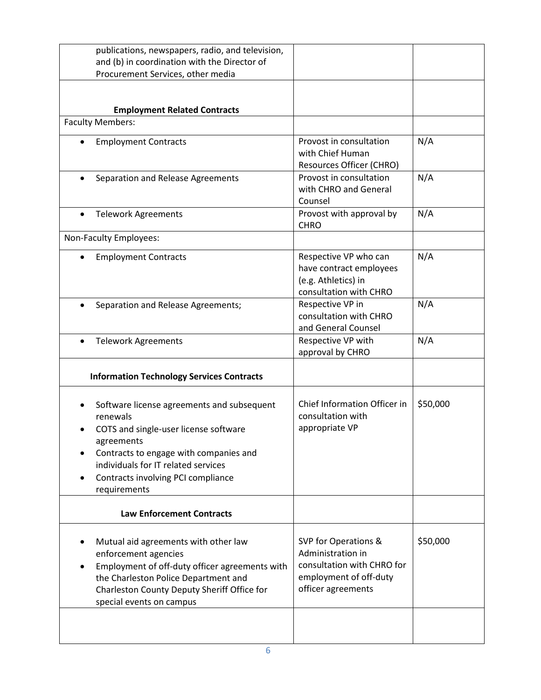| publications, newspapers, radio, and television,                                                                                                                                                                                                     |                                                                                                                         |          |
|------------------------------------------------------------------------------------------------------------------------------------------------------------------------------------------------------------------------------------------------------|-------------------------------------------------------------------------------------------------------------------------|----------|
| and (b) in coordination with the Director of<br>Procurement Services, other media                                                                                                                                                                    |                                                                                                                         |          |
|                                                                                                                                                                                                                                                      |                                                                                                                         |          |
| <b>Employment Related Contracts</b>                                                                                                                                                                                                                  |                                                                                                                         |          |
| <b>Faculty Members:</b>                                                                                                                                                                                                                              |                                                                                                                         |          |
| <b>Employment Contracts</b><br>$\bullet$                                                                                                                                                                                                             | Provost in consultation<br>with Chief Human<br>Resources Officer (CHRO)                                                 | N/A      |
| Separation and Release Agreements                                                                                                                                                                                                                    | Provost in consultation<br>with CHRO and General<br>Counsel                                                             | N/A      |
| <b>Telework Agreements</b>                                                                                                                                                                                                                           | Provost with approval by<br><b>CHRO</b>                                                                                 | N/A      |
| Non-Faculty Employees:                                                                                                                                                                                                                               |                                                                                                                         |          |
| <b>Employment Contracts</b><br>$\bullet$                                                                                                                                                                                                             | Respective VP who can<br>have contract employees<br>(e.g. Athletics) in<br>consultation with CHRO                       | N/A      |
| Separation and Release Agreements;                                                                                                                                                                                                                   | Respective VP in<br>consultation with CHRO<br>and General Counsel                                                       | N/A      |
| <b>Telework Agreements</b><br>$\bullet$                                                                                                                                                                                                              | Respective VP with<br>approval by CHRO                                                                                  | N/A      |
| <b>Information Technology Services Contracts</b>                                                                                                                                                                                                     |                                                                                                                         |          |
| Software license agreements and subsequent<br>renewals<br>COTS and single-user license software<br>agreements<br>Contracts to engage with companies and<br>individuals for IT related services<br>Contracts involving PCI compliance<br>requirements | Chief Information Officer in<br>consultation with<br>appropriate VP                                                     | \$50,000 |
| <b>Law Enforcement Contracts</b>                                                                                                                                                                                                                     |                                                                                                                         |          |
| Mutual aid agreements with other law<br>enforcement agencies<br>Employment of off-duty officer agreements with<br>the Charleston Police Department and<br>Charleston County Deputy Sheriff Office for<br>special events on campus                    | SVP for Operations &<br>Administration in<br>consultation with CHRO for<br>employment of off-duty<br>officer agreements | \$50,000 |
|                                                                                                                                                                                                                                                      |                                                                                                                         |          |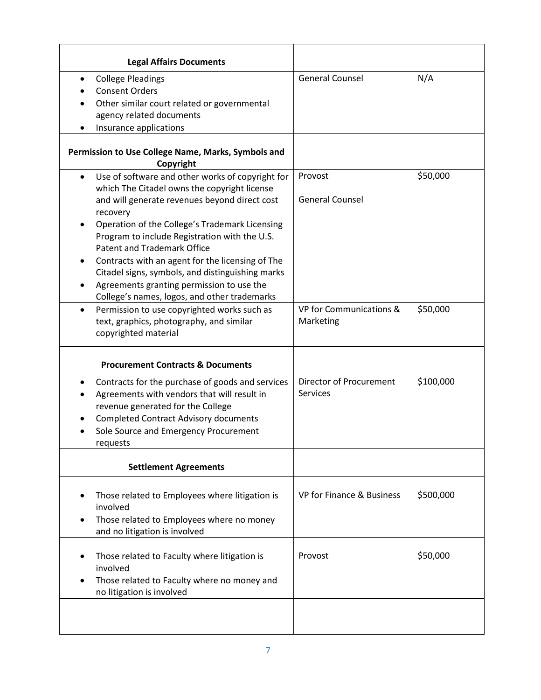| <b>Legal Affairs Documents</b>                                                                                                                                                                                                                                                                                                                                                                                                                                                                                           |                                            |           |
|--------------------------------------------------------------------------------------------------------------------------------------------------------------------------------------------------------------------------------------------------------------------------------------------------------------------------------------------------------------------------------------------------------------------------------------------------------------------------------------------------------------------------|--------------------------------------------|-----------|
| <b>College Pleadings</b><br><b>Consent Orders</b><br>Other similar court related or governmental<br>agency related documents<br>Insurance applications                                                                                                                                                                                                                                                                                                                                                                   | <b>General Counsel</b>                     | N/A       |
| Permission to Use College Name, Marks, Symbols and<br>Copyright                                                                                                                                                                                                                                                                                                                                                                                                                                                          |                                            |           |
| Use of software and other works of copyright for<br>$\bullet$<br>which The Citadel owns the copyright license<br>and will generate revenues beyond direct cost<br>recovery<br>Operation of the College's Trademark Licensing<br>Program to include Registration with the U.S.<br><b>Patent and Trademark Office</b><br>Contracts with an agent for the licensing of The<br>Citadel signs, symbols, and distinguishing marks<br>Agreements granting permission to use the<br>College's names, logos, and other trademarks | Provost<br><b>General Counsel</b>          | \$50,000  |
| Permission to use copyrighted works such as<br>$\bullet$<br>text, graphics, photography, and similar<br>copyrighted material<br><b>Procurement Contracts &amp; Documents</b>                                                                                                                                                                                                                                                                                                                                             | VP for Communications &<br>Marketing       | \$50,000  |
| Contracts for the purchase of goods and services<br>٠<br>Agreements with vendors that will result in<br>revenue generated for the College<br><b>Completed Contract Advisory documents</b><br>Sole Source and Emergency Procurement<br>requests                                                                                                                                                                                                                                                                           | Director of Procurement<br><b>Services</b> | \$100,000 |
| <b>Settlement Agreements</b>                                                                                                                                                                                                                                                                                                                                                                                                                                                                                             |                                            |           |
| Those related to Employees where litigation is<br>involved<br>Those related to Employees where no money<br>and no litigation is involved                                                                                                                                                                                                                                                                                                                                                                                 | VP for Finance & Business                  | \$500,000 |
| Those related to Faculty where litigation is<br>involved<br>Those related to Faculty where no money and<br>no litigation is involved                                                                                                                                                                                                                                                                                                                                                                                     | Provost                                    | \$50,000  |
|                                                                                                                                                                                                                                                                                                                                                                                                                                                                                                                          |                                            |           |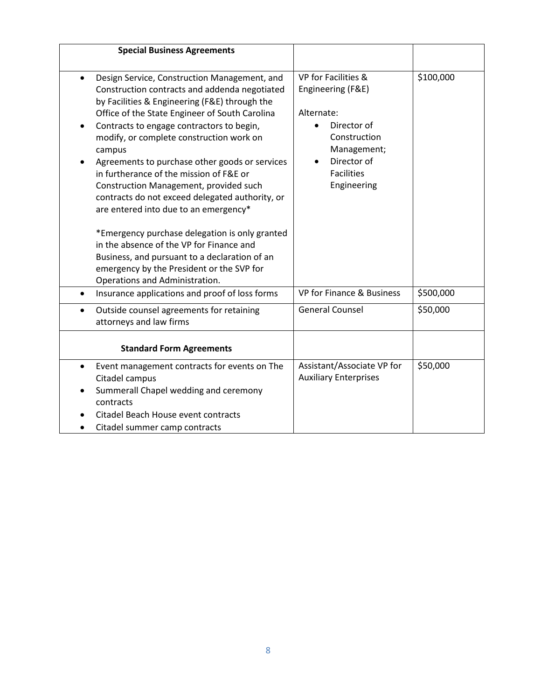| <b>Special Business Agreements</b>                                                                                                                                                                                                                                                                                                                                                                                                                                                                                                                                                                                                                                                                                                                                                     |                                                                                                                                                         |           |
|----------------------------------------------------------------------------------------------------------------------------------------------------------------------------------------------------------------------------------------------------------------------------------------------------------------------------------------------------------------------------------------------------------------------------------------------------------------------------------------------------------------------------------------------------------------------------------------------------------------------------------------------------------------------------------------------------------------------------------------------------------------------------------------|---------------------------------------------------------------------------------------------------------------------------------------------------------|-----------|
|                                                                                                                                                                                                                                                                                                                                                                                                                                                                                                                                                                                                                                                                                                                                                                                        |                                                                                                                                                         |           |
| Design Service, Construction Management, and<br>$\bullet$<br>Construction contracts and addenda negotiated<br>by Facilities & Engineering (F&E) through the<br>Office of the State Engineer of South Carolina<br>Contracts to engage contractors to begin,<br>٠<br>modify, or complete construction work on<br>campus<br>Agreements to purchase other goods or services<br>in furtherance of the mission of F&E or<br>Construction Management, provided such<br>contracts do not exceed delegated authority, or<br>are entered into due to an emergency*<br>*Emergency purchase delegation is only granted<br>in the absence of the VP for Finance and<br>Business, and pursuant to a declaration of an<br>emergency by the President or the SVP for<br>Operations and Administration. | VP for Facilities &<br>Engineering (F&E)<br>Alternate:<br>Director of<br>Construction<br>Management;<br>Director of<br><b>Facilities</b><br>Engineering | \$100,000 |
| Insurance applications and proof of loss forms<br>$\bullet$                                                                                                                                                                                                                                                                                                                                                                                                                                                                                                                                                                                                                                                                                                                            | VP for Finance & Business                                                                                                                               | \$500,000 |
| Outside counsel agreements for retaining<br>$\bullet$<br>attorneys and law firms                                                                                                                                                                                                                                                                                                                                                                                                                                                                                                                                                                                                                                                                                                       | <b>General Counsel</b>                                                                                                                                  | \$50,000  |
| <b>Standard Form Agreements</b>                                                                                                                                                                                                                                                                                                                                                                                                                                                                                                                                                                                                                                                                                                                                                        |                                                                                                                                                         |           |
| Event management contracts for events on The<br>$\bullet$<br>Citadel campus<br>Summerall Chapel wedding and ceremony<br>contracts<br>Citadel Beach House event contracts<br>Citadel summer camp contracts                                                                                                                                                                                                                                                                                                                                                                                                                                                                                                                                                                              | Assistant/Associate VP for<br><b>Auxiliary Enterprises</b>                                                                                              | \$50,000  |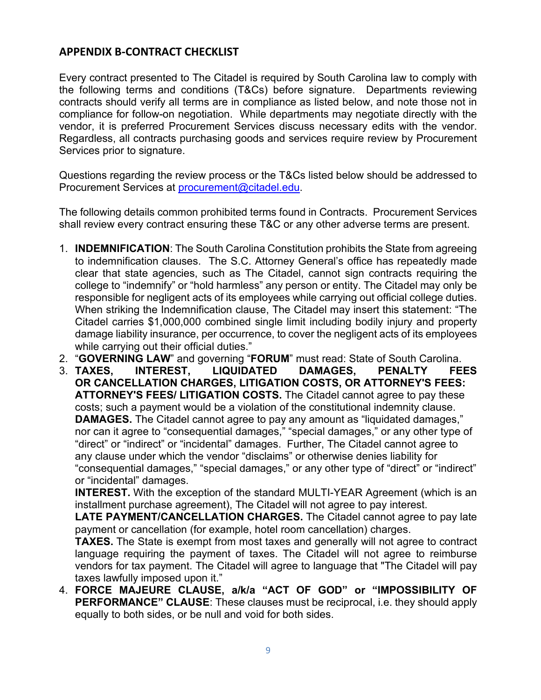## **APPENDIX B-CONTRACT CHECKLIST**

Every contract presented to The Citadel is required by South Carolina law to comply with the following terms and conditions (T&Cs) before signature. Departments reviewing contracts should verify all terms are in compliance as listed below, and note those not in compliance for follow-on negotiation. While departments may negotiate directly with the vendor, it is preferred Procurement Services discuss necessary edits with the vendor. Regardless, all contracts purchasing goods and services require review by Procurement Services prior to signature.

Questions regarding the review process or the T&Cs listed below should be addressed to Procurement Services at [procurement@citadel.edu.](mailto:procurement@citadel.edu)

The following details common prohibited terms found in Contracts. Procurement Services shall review every contract ensuring these T&C or any other adverse terms are present.

- 1. **INDEMNIFICATION**: The South Carolina Constitution prohibits the State from agreeing to indemnification clauses. The S.C. Attorney General's office has repeatedly made clear that state agencies, such as The Citadel, cannot sign contracts requiring the college to "indemnify" or "hold harmless" any person or entity. The Citadel may only be responsible for negligent acts of its employees while carrying out official college duties. When striking the Indemnification clause, The Citadel may insert this statement: "The Citadel carries \$1,000,000 combined single limit including bodily injury and property damage liability insurance, per occurrence, to cover the negligent acts of its employees while carrying out their official duties."
- 2. "**GOVERNING LAW**" and governing "**FORUM**" must read: State of South Carolina.
- 3. **TAXES, INTEREST, LIQUIDATED DAMAGES, PENALTY FEES OR CANCELLATION CHARGES, LITIGATION COSTS, OR ATTORNEY'S FEES: ATTORNEY'S FEES/ LITIGATION COSTS.** The Citadel cannot agree to pay these costs; such a payment would be a violation of the constitutional indemnity clause. **DAMAGES.** The Citadel cannot agree to pay any amount as "liquidated damages," nor can it agree to "consequential damages," "special damages," or any other type of "direct" or "indirect" or "incidental" damages. Further, The Citadel cannot agree to any clause under which the vendor "disclaims" or otherwise denies liability for "consequential damages," "special damages," or any other type of "direct" or "indirect" or "incidental" damages.

**INTEREST.** With the exception of the standard MULTI-YEAR Agreement (which is an installment purchase agreement), The Citadel will not agree to pay interest.

**LATE PAYMENT/CANCELLATION CHARGES.** The Citadel cannot agree to pay late payment or cancellation (for example, hotel room cancellation) charges.

**TAXES.** The State is exempt from most taxes and generally will not agree to contract language requiring the payment of taxes. The Citadel will not agree to reimburse vendors for tax payment. The Citadel will agree to language that "The Citadel will pay taxes lawfully imposed upon it."

4. **FORCE MAJEURE CLAUSE, a/k/a "ACT OF GOD" or "IMPOSSIBILITY OF PERFORMANCE" CLAUSE**: These clauses must be reciprocal, i.e. they should apply equally to both sides, or be null and void for both sides.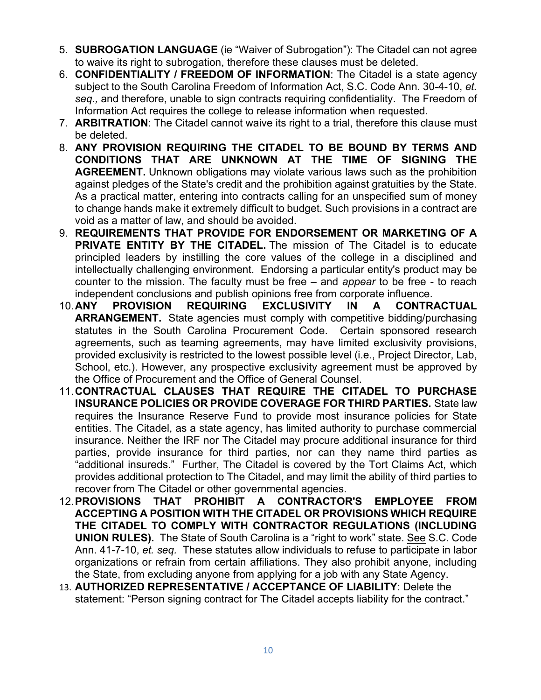- 5. **SUBROGATION LANGUAGE** (ie "Waiver of Subrogation"): The Citadel can not agree to waive its right to subrogation, therefore these clauses must be deleted.
- 6. **CONFIDENTIALITY / FREEDOM OF INFORMATION**: The Citadel is a state agency subject to the South Carolina Freedom of Information Act, S.C. Code Ann. 30-4-10, *et. seq.,* and therefore, unable to sign contracts requiring confidentiality. The Freedom of Information Act requires the college to release information when requested.
- 7. **ARBITRATION**: The Citadel cannot waive its right to a trial, therefore this clause must be deleted.
- 8. **ANY PROVISION REQUIRING THE CITADEL TO BE BOUND BY TERMS AND CONDITIONS THAT ARE UNKNOWN AT THE TIME OF SIGNING THE AGREEMENT.** Unknown obligations may violate various laws such as the prohibition against pledges of the State's credit and the prohibition against gratuities by the State. As a practical matter, entering into contracts calling for an unspecified sum of money to change hands make it extremely difficult to budget. Such provisions in a contract are void as a matter of law, and should be avoided.
- 9. **REQUIREMENTS THAT PROVIDE FOR ENDORSEMENT OR MARKETING OF A PRIVATE ENTITY BY THE CITADEL.** The mission of The Citadel is to educate principled leaders by instilling the core values of the college in a disciplined and intellectually challenging environment. Endorsing a particular entity's product may be counter to the mission. The faculty must be free – and *appear* to be free - to reach independent conclusions and publish opinions free from corporate influence.
- 10.**ANY PROVISION REQUIRING EXCLUSIVITY IN A CONTRACTUAL ARRANGEMENT.** State agencies must comply with competitive bidding/purchasing statutes in the South Carolina Procurement Code. Certain sponsored research agreements, such as teaming agreements, may have limited exclusivity provisions, provided exclusivity is restricted to the lowest possible level (i.e., Project Director, Lab, School, etc.). However, any prospective exclusivity agreement must be approved by the Office of Procurement and the Office of General Counsel.
- 11.**CONTRACTUAL CLAUSES THAT REQUIRE THE CITADEL TO PURCHASE INSURANCE POLICIES OR PROVIDE COVERAGE FOR THIRD PARTIES.** State law requires the Insurance Reserve Fund to provide most insurance policies for State entities. The Citadel, as a state agency, has limited authority to purchase commercial insurance. Neither the IRF nor The Citadel may procure additional insurance for third parties, provide insurance for third parties, nor can they name third parties as "additional insureds." Further, The Citadel is covered by the Tort Claims Act, which provides additional protection to The Citadel, and may limit the ability of third parties to recover from The Citadel or other governmental agencies.
- 12.**PROVISIONS THAT PROHIBIT A CONTRACTOR'S EMPLOYEE FROM ACCEPTING A POSITION WITH THE CITADEL OR PROVISIONS WHICH REQUIRE THE CITADEL TO COMPLY WITH CONTRACTOR REGULATIONS (INCLUDING UNION RULES).** The State of South Carolina is a "right to work" state. See S.C. Code Ann. 41-7-10, *et. seq.* These statutes allow individuals to refuse to participate in labor organizations or refrain from certain affiliations. They also prohibit anyone, including the State, from excluding anyone from applying for a job with any State Agency.
- 13. **AUTHORIZED REPRESENTATIVE / ACCEPTANCE OF LIABILITY**: Delete the statement: "Person signing contract for The Citadel accepts liability for the contract."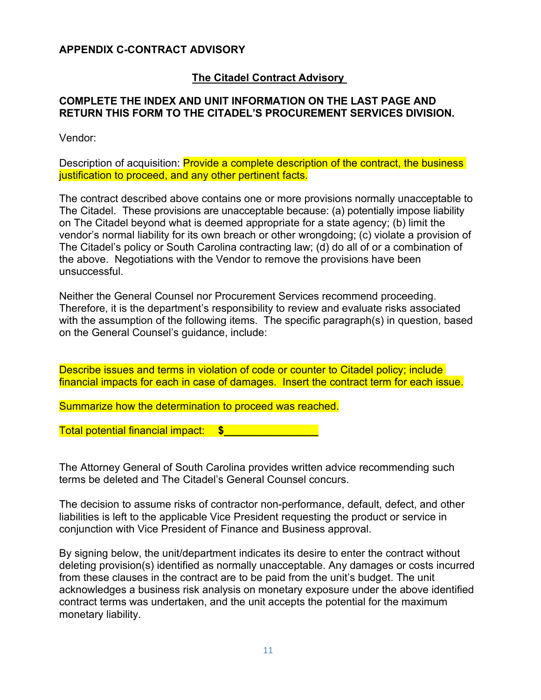#### **APPENDIX C-CONTRACT ADVISORY**

### **The Citadel Contract Advisory**

#### **COMPLETE THE INDEX AND UNIT INFORMATION ON THE LAST PAGE AND RETURN THIS FORM TO THE CITADEL'S PROCUREMENT SERVICES DIVISION.**

Vendor:

Description of acquisition: Provide a complete description of the contract, the business justification to proceed, and any other pertinent facts.

The contract described above contains one or more provisions normally unacceptable to The Citadel. These provisions are unacceptable because: (a) potentially impose liability on The Citadel beyond what is deemed appropriate for a state agency; (b) limit the vendor's normal liability for its own breach or other wrongdoing; (c) violate a provision of The Citadel's policy or South Carolina contracting law; (d) do all of or a combination of the above. Negotiations with the Vendor to remove the provisions have been unsuccessful.

Neither the General Counsel nor Procurement Services recommend proceeding. Therefore, it is the department's responsibility to review and evaluate risks associated with the assumption of the following items. The specific paragraph(s) in question, based on the General Counsel's guidance, include:

Describe issues and terms in violation of code or counter to Citadel policy; include financial impacts for each in case of damages. Insert the contract term for each issue.

Summarize how the determination to proceed was reached.

Total potential financial impact: **\$\_\_\_\_\_\_\_\_\_\_\_\_\_\_\_\_**

The Attorney General of South Carolina provides written advice recommending such terms be deleted and The Citadel's General Counsel concurs.

The decision to assume risks of contractor non-performance, default, defect, and other liabilities is left to the applicable Vice President requesting the product or service in conjunction with Vice President of Finance and Business approval.

By signing below, the unit/department indicates its desire to enter the contract without deleting provision(s) identified as normally unacceptable. Any damages or costs incurred from these clauses in the contract are to be paid from the unit's budget. The unit acknowledges a business risk analysis on monetary exposure under the above identified contract terms was undertaken, and the unit accepts the potential for the maximum monetary liability.